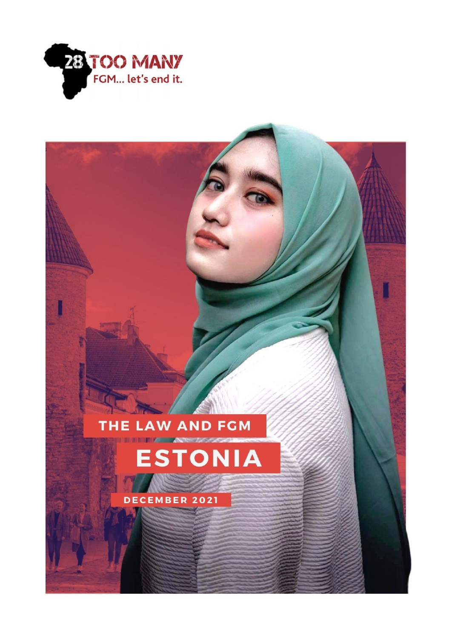

### THE LAW AND FGM **INTERNATIONAL ANDREWSKI**



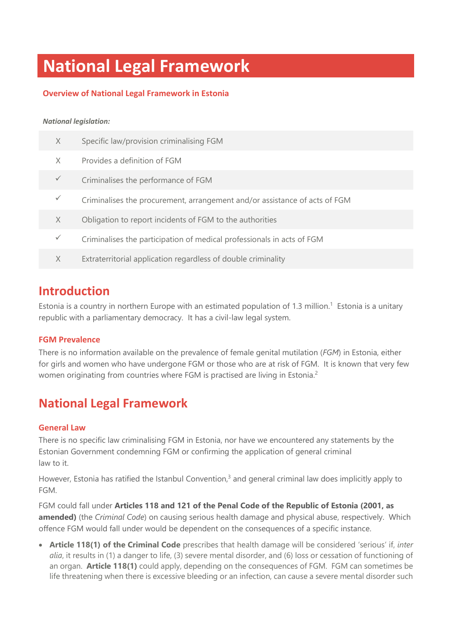# **National Legal Framework**

### **Overview of National Legal Framework in Estonia**

### *National legislation:*

| X | Specific law/provision criminalising FGM                                   |
|---|----------------------------------------------------------------------------|
| X | Provides a definition of FGM                                               |
|   | Criminalises the performance of FGM                                        |
|   | Criminalises the procurement, arrangement and/or assistance of acts of FGM |
| X | Obligation to report incidents of FGM to the authorities                   |
|   | Criminalises the participation of medical professionals in acts of FGM     |
| X | Extraterritorial application regardless of double criminality              |

### **Introduction**

Estonia is a country in northern Europe with an estimated population of 1.3 million.<sup>1</sup> Estonia is a unitary republic with a parliamentary democracy. It has a civil-law legal system.

### **FGM Prevalence**

There is no information available on the prevalence of female genital mutilation (*FGM*) in Estonia, either for girls and women who have undergone FGM or those who are at risk of FGM. It is known that very few women originating from countries where FGM is practised are living in Estonia.<sup>2</sup>

## **National Legal Framework**

### **General Law**

There is no specific law criminalising FGM in Estonia, nor have we encountered any statements by the Estonian Government condemning FGM or confirming the application of general criminal law to it.

However, Estonia has ratified the Istanbul Convention,<sup>3</sup> and general criminal law does implicitly apply to FGM.

FGM could fall under **Articles 118 and 121 of the Penal Code of the Republic of Estonia (2001, as amended)** (the *Criminal Code*) on causing serious health damage and physical abuse, respectively. Which offence FGM would fall under would be dependent on the consequences of a specific instance.

• **Article 118(1) of the Criminal Code** prescribes that health damage will be considered 'serious' if, *inter alia*, it results in (1) a danger to life, (3) severe mental disorder, and (6) loss or cessation of functioning of an organ. **Article 118(1)** could apply, depending on the consequences of FGM. FGM can sometimes be life threatening when there is excessive bleeding or an infection, can cause a severe mental disorder such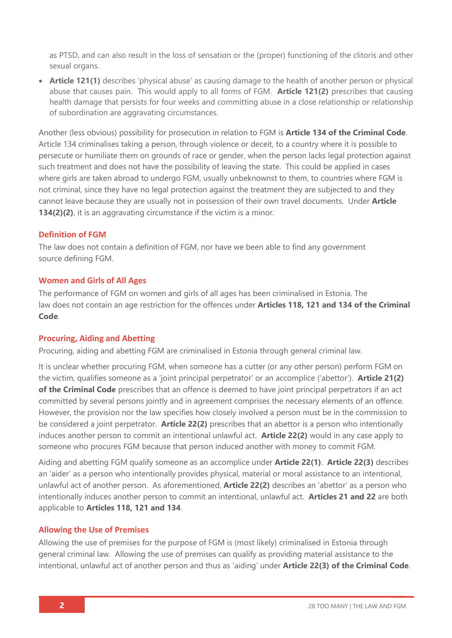as PTSD, and can also result in the loss of sensation or the (proper) functioning of the clitoris and other sexual organs.

• **Article 121(1)** describes 'physical abuse' as causing damage to the health of another person or physical abuse that causes pain. This would apply to all forms of FGM. **Article 121(2)** prescribes that causing health damage that persists for four weeks and committing abuse in a close relationship or relationship of subordination are aggravating circumstances.

Another (less obvious) possibility for prosecution in relation to FGM is **Article 134 of the Criminal Code**. Article 134 criminalises taking a person, through violence or deceit, to a country where it is possible to persecute or humiliate them on grounds of race or gender, when the person lacks legal protection against such treatment and does not have the possibility of leaving the state. This could be applied in cases where girls are taken abroad to undergo FGM, usually unbeknownst to them, to countries where FGM is not criminal, since they have no legal protection against the treatment they are subjected to and they cannot leave because they are usually not in possession of their own travel documents. Under **Article 134(2)(2)**, it is an aggravating circumstance if the victim is a minor.

### **Definition of FGM**

The law does not contain a definition of FGM, nor have we been able to find any government source defining FGM.

### **Women and Girls of All Ages**

The performance of FGM on women and girls of all ages has been criminalised in Estonia. The law does not contain an age restriction for the offences under **Articles 118, 121 and 134 of the Criminal Code**.

### **Procuring, Aiding and Abetting**

Procuring, aiding and abetting FGM are criminalised in Estonia through general criminal law.

It is unclear whether procuring FGM, when someone has a cutter (or any other person) perform FGM on the victim, qualifies someone as a 'joint principal perpetrator' or an accomplice ('abettor'). **Article 21(2) of the Criminal Code** prescribes that an offence is deemed to have joint principal perpetrators if an act committed by several persons jointly and in agreement comprises the necessary elements of an offence. However, the provision nor the law specifies how closely involved a person must be in the commission to be considered a joint perpetrator. **Article 22(2)** prescribes that an abettor is a person who intentionally induces another person to commit an intentional unlawful act. **Article 22(2)** would in any case apply to someone who procures FGM because that person induced another with money to commit FGM.

Aiding and abetting FGM qualify someone as an accomplice under **Article 22(1)**. **Article 22(3)** describes an 'aider' as a person who intentionally provides physical, material or moral assistance to an intentional, unlawful act of another person. As aforementioned, **Article 22(2)** describes an 'abettor' as a person who intentionally induces another person to commit an intentional, unlawful act. **Articles 21 and 22** are both applicable to **Articles 118, 121 and 134**.

### **Allowing the Use of Premises**

Allowing the use of premises for the purpose of FGM is (most likely) criminalised in Estonia through general criminal law. Allowing the use of premises can qualify as providing material assistance to the intentional, unlawful act of another person and thus as 'aiding' under **Article 22(3) of the Criminal Code**.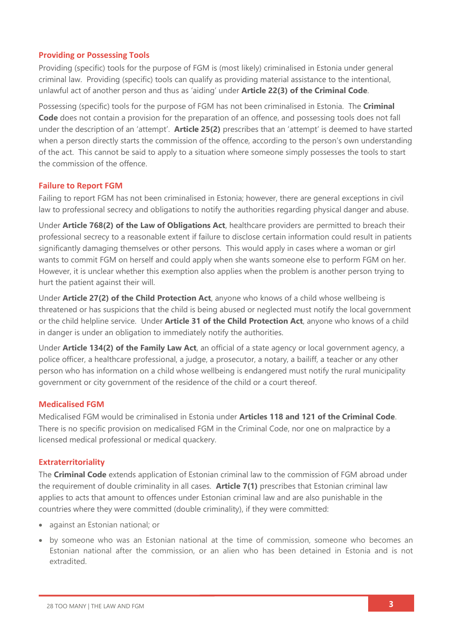### **Providing or Possessing Tools**

Providing (specific) tools for the purpose of FGM is (most likely) criminalised in Estonia under general criminal law. Providing (specific) tools can qualify as providing material assistance to the intentional, unlawful act of another person and thus as 'aiding' under **Article 22(3) of the Criminal Code**.

Possessing (specific) tools for the purpose of FGM has not been criminalised in Estonia. The **Criminal Code** does not contain a provision for the preparation of an offence, and possessing tools does not fall under the description of an 'attempt'. **Article 25(2)** prescribes that an 'attempt' is deemed to have started when a person directly starts the commission of the offence, according to the person's own understanding of the act. This cannot be said to apply to a situation where someone simply possesses the tools to start the commission of the offence.

### **Failure to Report FGM**

Failing to report FGM has not been criminalised in Estonia; however, there are general exceptions in civil law to professional secrecy and obligations to notify the authorities regarding physical danger and abuse.

Under **Article 768(2) of the Law of Obligations Act**, healthcare providers are permitted to breach their professional secrecy to a reasonable extent if failure to disclose certain information could result in patients significantly damaging themselves or other persons. This would apply in cases where a woman or girl wants to commit FGM on herself and could apply when she wants someone else to perform FGM on her. However, it is unclear whether this exemption also applies when the problem is another person trying to hurt the patient against their will.

Under **Article 27(2) of the Child Protection Act**, anyone who knows of a child whose wellbeing is threatened or has suspicions that the child is being abused or neglected must notify the local government or the child helpline service. Under **Article 31 of the Child Protection Act**, anyone who knows of a child in danger is under an obligation to immediately notify the authorities.

Under **Article 134(2) of the Family Law Act**, an official of a state agency or local government agency, a police officer, a healthcare professional, a judge, a prosecutor, a notary, a bailiff, a teacher or any other person who has information on a child whose wellbeing is endangered must notify the rural municipality government or city government of the residence of the child or a court thereof.

### **Medicalised FGM**

Medicalised FGM would be criminalised in Estonia under **Articles 118 and 121 of the Criminal Code**. There is no specific provision on medicalised FGM in the Criminal Code, nor one on malpractice by a licensed medical professional or medical quackery.

### **Extraterritoriality**

The **Criminal Code** extends application of Estonian criminal law to the commission of FGM abroad under the requirement of double criminality in all cases. **Article 7(1)** prescribes that Estonian criminal law applies to acts that amount to offences under Estonian criminal law and are also punishable in the countries where they were committed (double criminality), if they were committed:

- against an Estonian national; or
- by someone who was an Estonian national at the time of commission, someone who becomes an Estonian national after the commission, or an alien who has been detained in Estonia and is not extradited.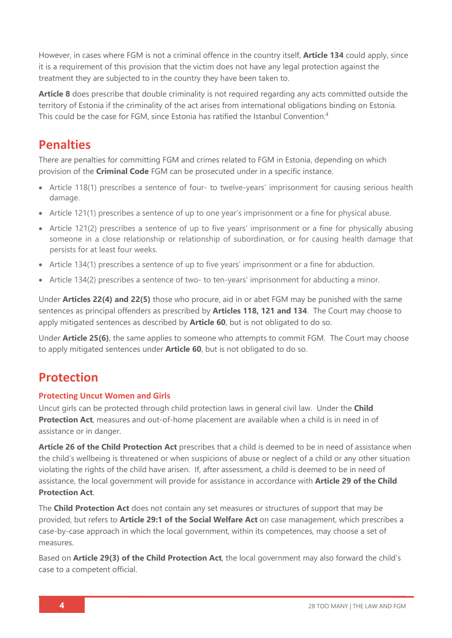However, in cases where FGM is not a criminal offence in the country itself, **Article 134** could apply, since it is a requirement of this provision that the victim does not have any legal protection against the treatment they are subjected to in the country they have been taken to.

**Article 8** does prescribe that double criminality is not required regarding any acts committed outside the territory of Estonia if the criminality of the act arises from international obligations binding on Estonia. This could be the case for FGM, since Estonia has ratified the Istanbul Convention.<sup>4</sup>

## **Penalties**

There are penalties for committing FGM and crimes related to FGM in Estonia, depending on which provision of the **Criminal Code** FGM can be prosecuted under in a specific instance.

- Article 118(1) prescribes a sentence of four- to twelve-years' imprisonment for causing serious health damage.
- Article 121(1) prescribes a sentence of up to one year's imprisonment or a fine for physical abuse.
- Article 121(2) prescribes a sentence of up to five years' imprisonment or a fine for physically abusing someone in a close relationship or relationship of subordination, or for causing health damage that persists for at least four weeks.
- Article 134(1) prescribes a sentence of up to five years' imprisonment or a fine for abduction.
- Article 134(2) prescribes a sentence of two- to ten-years' imprisonment for abducting a minor.

Under **Articles 22(4) and 22(5)** those who procure, aid in or abet FGM may be punished with the same sentences as principal offenders as prescribed by **Articles 118, 121 and 134**. The Court may choose to apply mitigated sentences as described by **Article 60**, but is not obligated to do so.

Under **Article 25(6)**, the same applies to someone who attempts to commit FGM. The Court may choose to apply mitigated sentences under **Article 60**, but is not obligated to do so.

### **Protection**

### **Protecting Uncut Women and Girls**

Uncut girls can be protected through child protection laws in general civil law. Under the **Child Protection Act**, measures and out-of-home placement are available when a child is in need in of assistance or in danger.

**Article 26 of the Child Protection Act** prescribes that a child is deemed to be in need of assistance when the child's wellbeing is threatened or when suspicions of abuse or neglect of a child or any other situation violating the rights of the child have arisen. If, after assessment, a child is deemed to be in need of assistance, the local government will provide for assistance in accordance with **Article 29 of the Child Protection Act**.

The **Child Protection Act** does not contain any set measures or structures of support that may be provided, but refers to **Article 29:1 of the Social Welfare Act** on case management, which prescribes a case-by-case approach in which the local government, within its competences, may choose a set of measures.

Based on **Article 29(3) of the Child Protection Act**, the local government may also forward the child's case to a competent official.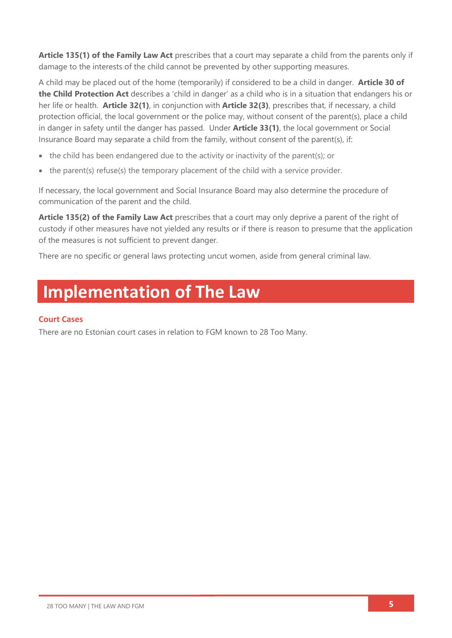**Article 135(1) of the Family Law Act** prescribes that a court may separate a child from the parents only if damage to the interests of the child cannot be prevented by other supporting measures.

A child may be placed out of the home (temporarily) if considered to be a child in danger. **Article 30 of the Child Protection Act** describes a 'child in danger' as a child who is in a situation that endangers his or her life or health. **Article 32(1)**, in conjunction with **Article 32(3)**, prescribes that, if necessary, a child protection official, the local government or the police may, without consent of the parent(s), place a child in danger in safety until the danger has passed. Under **Article 33(1)**, the local government or Social Insurance Board may separate a child from the family, without consent of the parent(s), if:

- the child has been endangered due to the activity or inactivity of the parent(s); or
- the parent(s) refuse(s) the temporary placement of the child with a service provider.

If necessary, the local government and Social Insurance Board may also determine the procedure of communication of the parent and the child.

**Article 135(2) of the Family Law Act** prescribes that a court may only deprive a parent of the right of custody if other measures have not yielded any results or if there is reason to presume that the application of the measures is not sufficient to prevent danger.

There are no specific or general laws protecting uncut women, aside from general criminal law.

# **Implementation of The Law**

### **Court Cases**

There are no Estonian court cases in relation to FGM known to 28 Too Many.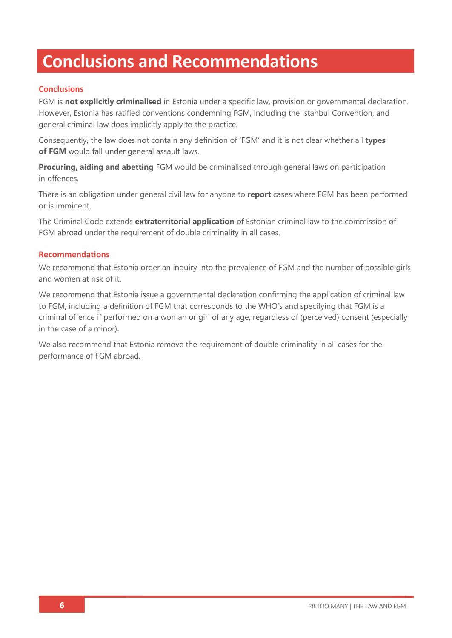# **Conclusions and Recommendations**

### **Conclusions**

FGM is **not explicitly criminalised** in Estonia under a specific law, provision or governmental declaration. However, Estonia has ratified conventions condemning FGM, including the Istanbul Convention, and general criminal law does implicitly apply to the practice.

Consequently, the law does not contain any definition of 'FGM' and it is not clear whether all **types of FGM** would fall under general assault laws.

**Procuring, aiding and abetting** FGM would be criminalised through general laws on participation in offences.

There is an obligation under general civil law for anyone to **report** cases where FGM has been performed or is imminent.

The Criminal Code extends **extraterritorial application** of Estonian criminal law to the commission of FGM abroad under the requirement of double criminality in all cases.

### **Recommendations**

We recommend that Estonia order an inquiry into the prevalence of FGM and the number of possible girls and women at risk of it.

We recommend that Estonia issue a governmental declaration confirming the application of criminal law to FGM, including a definition of FGM that corresponds to the WHO's and specifying that FGM is a criminal offence if performed on a woman or girl of any age, regardless of (perceived) consent (especially in the case of a minor).

We also recommend that Estonia remove the requirement of double criminality in all cases for the performance of FGM abroad.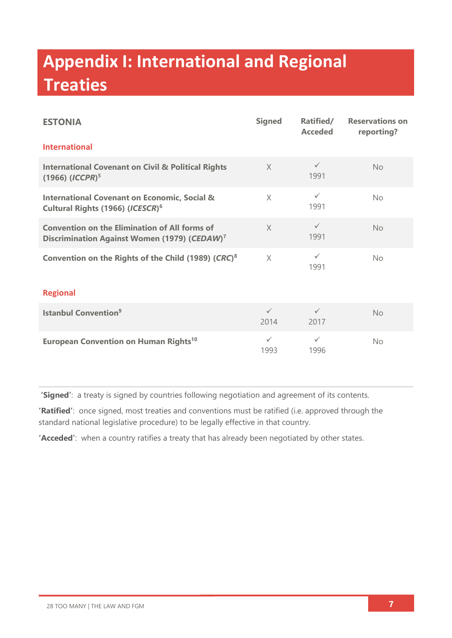# **Appendix I: International and Regional Treaties**

| <b>ESTONIA</b>                                                                                                   | <b>Signed</b>        | Ratified/<br><b>Acceded</b> | <b>Reservations on</b><br>reporting? |  |
|------------------------------------------------------------------------------------------------------------------|----------------------|-----------------------------|--------------------------------------|--|
| <b>International</b>                                                                                             |                      |                             |                                      |  |
| <b>International Covenant on Civil &amp; Political Rights</b><br>$(1966)$ $(ICCPR)^5$                            | $\times$             | $\checkmark$<br>1991        | <b>No</b>                            |  |
| <b>International Covenant on Economic, Social &amp;</b><br>Cultural Rights (1966) (ICESCR) <sup>6</sup>          | $\times$             | $\checkmark$<br>1991        | No.                                  |  |
| <b>Convention on the Elimination of All forms of</b><br>Discrimination Against Women (1979) (CEDAW) <sup>7</sup> | $\chi$               | $\checkmark$<br>1991        | <b>No</b>                            |  |
| Convention on the Rights of the Child (1989) (CRC) <sup>8</sup>                                                  | $\times$             | $\checkmark$<br>1991        | No                                   |  |
| <b>Regional</b>                                                                                                  |                      |                             |                                      |  |
| <b>Istanbul Convention<sup>9</sup></b>                                                                           | $\checkmark$<br>2014 | $\checkmark$<br>2017        | <b>No</b>                            |  |
| <b>European Convention on Human Rights<sup>10</sup></b>                                                          | $\checkmark$<br>1993 | $\checkmark$<br>1996        | <b>No</b>                            |  |

**'Signed'**: a treaty is signed by countries following negotiation and agreement of its contents.

**'Ratified'**: once signed, most treaties and conventions must be ratified (i.e. approved through the standard national legislative procedure) to be legally effective in that country.

**'Acceded'**: when a country ratifies a treaty that has already been negotiated by other states.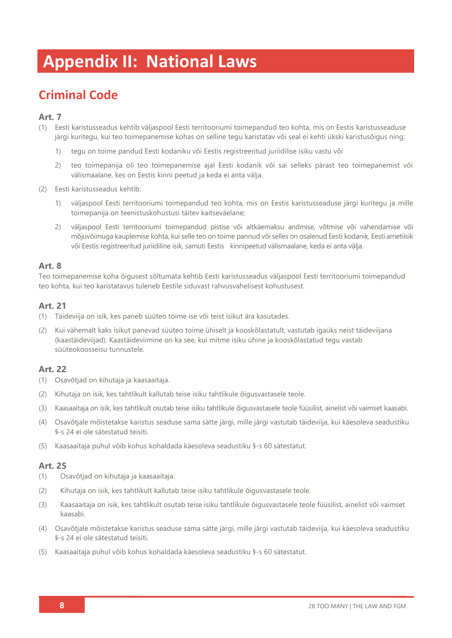# **Appendix II: National Laws**

## **Criminal Code**

### **Art. 7**

- (1) Eesti karistusseadus kehtib väljaspool Eesti territooriumi toimepandud teo kohta, mis on Eestis karistusseaduse järgi kuritegu, kui teo toimepanemise kohas on selline tegu karistatav või seal ei kehti ükski karistusõigus ning:
	- 1) tegu on toime pandud Eesti kodaniku või Eestis registreeritud juriidilise isiku vastu või
	- 2) teo toimepanija oli teo toimepanemise ajal Eesti kodanik või sai selleks pärast teo toimepanemist või välismaalane, kes on Eestis kinni peetud ja keda ei anta välja.
- (2) Eesti karistusseadus kehtib:
	- 1) väljaspool Eesti territooriumi toimepandud teo kohta, mis on Eestis karistusseaduse järgi kuritegu ja mille toimepanija on teenistuskohustusi täitev kaitseväelane;
	- 2) väljaspool Eesti territooriumi toimepandud pistise või altkäemaksu andmise, võtmise või vahendamise või mõjuvõimuga kauplemise kohta, kui selle teo on toime pannud või selles on osalenud Eesti kodanik, Eesti ametiisik või Eestis registreeritud juriidiline isik, samuti Eestis kinnipeetud välismaalane, keda ei anta välja.

### **Art. 8**

Teo toimepanemise koha õigusest sõltumata kehtib Eesti karistusseadus väljaspool Eesti territooriumi toimepandud teo kohta, kui teo karistatavus tuleneb Eestile siduvast rahvusvahelisest kohustusest.

### **Art. 21**

- (1) Täideviija on isik, kes paneb süüteo toime ise või teist isikut ära kasutades.
- (2) Kui vähemalt kaks isikut panevad süüteo toime ühiselt ja kooskõlastatult, vastutab igaüks neist täideviijana (kaastäideviijad). Kaastäideviimine on ka see, kui mitme isiku ühine ja kooskõlastatud tegu vastab süüteokoosseisu tunnustele.

### **Art. 22**

- (1) Osavõtjad on kihutaja ja kaasaaitaja.
- (2) Kihutaja on isik, kes tahtlikult kallutab teise isiku tahtlikule õigusvastasele teole.
- (3) Kaasaaitaja on isik, kes tahtlikult osutab teise isiku tahtlikule õigusvastasele teole füüsilist, ainelist või vaimset kaasabi.
- (4) Osavõtjale mõistetakse karistus seaduse sama sätte järgi, mille järgi vastutab täideviija, kui käesoleva seadustiku §-s 24 ei ole sätestatud teisiti.
- (5) Kaasaaitaja puhul võib kohus kohaldada käesoleva seadustiku §-s 60 sätestatut.

- (1) Osavõtjad on kihutaja ja kaasaaitaja.
- (2) Kihutaja on isik, kes tahtlikult kallutab teise isiku tahtlikule õigusvastasele teole.
- (3) Kaasaaitaja on isik, kes tahtlikult osutab teise isiku tahtlikule õigusvastasele teole füüsilist, ainelist või vaimset kaasabi.
- (4) Osavõtjale mõistetakse karistus seaduse sama sätte järgi, mille järgi vastutab täideviija, kui käesoleva seadustiku §-s 24 ei ole sätestatud teisiti.
- (5) Kaasaaitaja puhul võib kohus kohaldada käesoleva seadustiku §-s 60 sätestatut.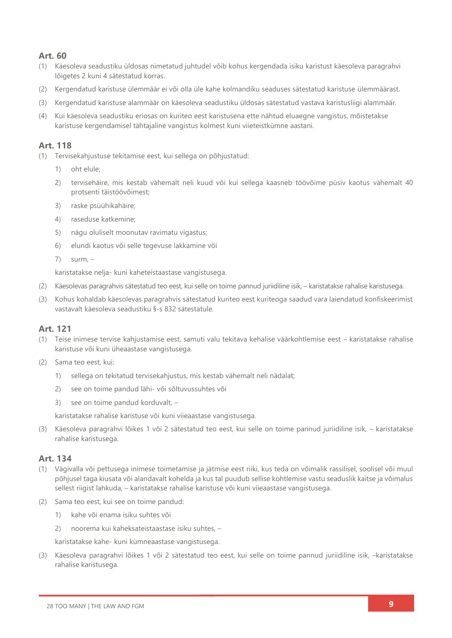### **Art. 60**

- (1) Käesoleva seadustiku üldosas nimetatud juhtudel võib kohus kergendada isiku karistust käesoleva paragrahvi lõigetes 2 kuni 4 sätestatud korras.
- (2) Kergendatud karistuse ülemmäär ei või olla üle kahe kolmandiku seaduses sätestatud karistuse ülemmäärast.
- (3) Kergendatud karistuse alammäär on käesoleva seadustiku üldosas sätestatud vastava karistusliigi alammäär.
- (4) Kui käesoleva seadustiku eriosas on kuriteo eest karistusena ette nähtud eluaegne vangistus, mõistetakse karistuse kergendamisel tähtajaline vangistus kolmest kuni viieteistkümne aastani.

### **Art. 118**

- (1) Tervisekahjustuse tekitamise eest, kui sellega on põhjustatud:
	- 1) oht elule;
	- 2) tervisehäire, mis kestab vähemalt neli kuud või kui sellega kaasneb töövõime püsiv kaotus vähemalt 40 protsenti täistöövõimest;
	- 3) raske psüühikahäire;
	- 4) raseduse katkemine;
	- 5) nägu oluliselt moonutav ravimatu vigastus;
	- 6) elundi kaotus või selle tegevuse lakkamine või
	- $7)$  surm.  $-$

karistatakse nelja- kuni kaheteistaastase vangistusega.

- (2) Käesolevas paragrahvis sätestatud teo eest, kui selle on toime pannud juriidiline isik, karistatakse rahalise karistusega.
- (3) Kohus kohaldab käesolevas paragrahvis sätestatud kuriteo eest kuriteoga saadud vara laiendatud konfiskeerimist vastavalt käesoleva seadustiku §-s 832 sätestatule.

### **Art. 121**

- (1) Teise inimese tervise kahjustamise eest, samuti valu tekitava kehalise väärkohtlemise eest karistatakse rahalise karistuse või kuni üheaastase vangistusega.
- (2) Sama teo eest, kui:
	- 1) sellega on tekitatud tervisekahjustus, mis kestab vähemalt neli nädalat;
	- 2) see on toime pandud lähi- või sõltuvussuhtes või
	- 3) see on toime pandud korduvalt, –

karistatakse rahalise karistuse või kuni viieaastase vangistusega.

(3) Käesoleva paragrahvi lõikes 1 või 2 sätestatud teo eest, kui selle on toime pannud juriidiline isik, – karistatakse rahalise karistusega.

### **Art. 134**

- (1) Vägivalla või pettusega inimese toimetamise ja jätmise eest riiki, kus teda on võimalik rassilisel, soolisel või muul põhjusel taga kiusata või alandavalt kohelda ja kus tal puudub sellise kohtlemise vastu seaduslik kaitse ja võimalus sellest riigist lahkuda, – karistatakse rahalise karistuse või kuni viieaastase vangistusega.
- (2) Sama teo eest, kui see on toime pandud:
	- 1) kahe või enama isiku suhtes või
	- 2) noorema kui kaheksateistaastase isiku suhtes, –

karistatakse kahe- kuni kümneaastase vangistusega.

(3) Käesoleva paragrahvi lõikes 1 või 2 sätestatud teo eest, kui selle on toime pannud juriidiline isik, –karistatakse rahalise karistusega.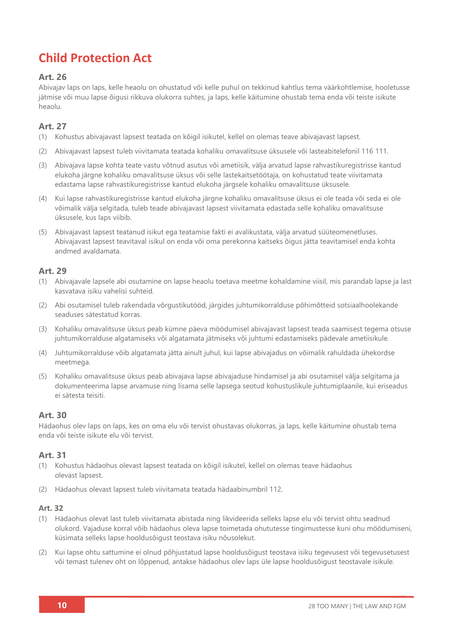## **Child Protection Act**

### **Art. 26**

Abivajav laps on laps, kelle heaolu on ohustatud või kelle puhul on tekkinud kahtlus tema väärkohtlemise, hooletusse jätmise või muu lapse õigusi rikkuva olukorra suhtes, ja laps, kelle käitumine ohustab tema enda või teiste isikute heaolu.

### **Art. 27**

- (1) Kohustus abivajavast lapsest teatada on kõigil isikutel, kellel on olemas teave abivajavast lapsest.
- (2) Abivajavast lapsest tuleb viivitamata teatada kohaliku omavalitsuse üksusele või lasteabitelefonil 116 111.
- (3) Abivajava lapse kohta teate vastu võtnud asutus või ametiisik, välja arvatud lapse rahvastikuregistrisse kantud elukoha järgne kohaliku omavalitsuse üksus või selle lastekaitsetöötaja, on kohustatud teate viivitamata edastama lapse rahvastikuregistrisse kantud elukoha järgsele kohaliku omavalitsuse üksusele.
- (4) Kui lapse rahvastikuregistrisse kantud elukoha järgne kohaliku omavalitsuse üksus ei ole teada või seda ei ole võimalik välja selgitada, tuleb teade abivajavast lapsest viivitamata edastada selle kohaliku omavalitsuse üksusele, kus laps viibib.
- (5) Abivajavast lapsest teatanud isikut ega teatamise fakti ei avalikustata, välja arvatud süüteomenetluses. Abivajavast lapsest teavitaval isikul on enda või oma perekonna kaitseks õigus jätta teavitamisel enda kohta andmed avaldamata.

### **Art. 29**

- (1) Abivajavale lapsele abi osutamine on lapse heaolu toetava meetme kohaldamine viisil, mis parandab lapse ja last kasvatava isiku vahelisi suhteid.
- (2) Abi osutamisel tuleb rakendada võrgustikutööd, järgides juhtumikorralduse põhimõtteid sotsiaalhoolekande seaduses sätestatud korras.
- (3) Kohaliku omavalitsuse üksus peab kümne päeva möödumisel abivajavast lapsest teada saamisest tegema otsuse juhtumikorralduse algatamiseks või algatamata jätmiseks või juhtumi edastamiseks pädevale ametiisikule.
- (4) Juhtumikorralduse võib algatamata jätta ainult juhul, kui lapse abivajadus on võimalik rahuldada ühekordse meetmega.
- (5) Kohaliku omavalitsuse üksus peab abivajava lapse abivajaduse hindamisel ja abi osutamisel välja selgitama ja dokumenteerima lapse arvamuse ning lisama selle lapsega seotud kohustuslikule juhtumiplaanile, kui eriseadus ei sätesta teisiti.

### **Art. 30**

Hädaohus olev laps on laps, kes on oma elu või tervist ohustavas olukorras, ja laps, kelle käitumine ohustab tema enda või teiste isikute elu või tervist.

### **Art. 31**

- (1) Kohustus hädaohus olevast lapsest teatada on kõigil isikutel, kellel on olemas teave hädaohus olevast lapsest.
- (2) Hädaohus olevast lapsest tuleb viivitamata teatada hädaabinumbril 112.

- (1) Hädaohus olevat last tuleb viivitamata abistada ning likvideerida selleks lapse elu või tervist ohtu seadnud olukord. Vajaduse korral võib hädaohus oleva lapse toimetada ohututesse tingimustesse kuni ohu möödumiseni, küsimata selleks lapse hooldusõigust teostava isiku nõusolekut.
- (2) Kui lapse ohtu sattumine ei olnud põhjustatud lapse hooldusõigust teostava isiku tegevusest või tegevusetusest või temast tulenev oht on lõppenud, antakse hädaohus olev laps üle lapse hooldusõigust teostavale isikule.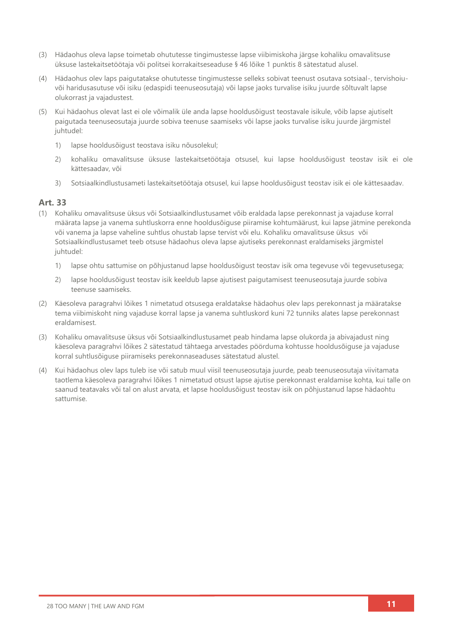- (3) Hädaohus oleva lapse toimetab ohututesse tingimustesse lapse viibimiskoha järgse kohaliku omavalitsuse üksuse lastekaitsetöötaja või politsei korrakaitseseaduse § 46 lõike 1 punktis 8 sätestatud alusel.
- (4) Hädaohus olev laps paigutatakse ohututesse tingimustesse selleks sobivat teenust osutava sotsiaal-, tervishoiuvõi haridusasutuse või isiku (edaspidi teenuseosutaja) või lapse jaoks turvalise isiku juurde sõltuvalt lapse olukorrast ja vajadustest.
- (5) Kui hädaohus olevat last ei ole võimalik üle anda lapse hooldusõigust teostavale isikule, võib lapse ajutiselt paigutada teenuseosutaja juurde sobiva teenuse saamiseks või lapse jaoks turvalise isiku juurde järgmistel juhtudel:
	- 1) lapse hooldusõigust teostava isiku nõusolekul;
	- 2) kohaliku omavalitsuse üksuse lastekaitsetöötaja otsusel, kui lapse hooldusõigust teostav isik ei ole kättesaadav, või
	- 3) Sotsiaalkindlustusameti lastekaitsetöötaja otsusel, kui lapse hooldusõigust teostav isik ei ole kättesaadav.

- (1) Kohaliku omavalitsuse üksus või Sotsiaalkindlustusamet võib eraldada lapse perekonnast ja vajaduse korral määrata lapse ja vanema suhtluskorra enne hooldusõiguse piiramise kohtumäärust, kui lapse jätmine perekonda või vanema ja lapse vaheline suhtlus ohustab lapse tervist või elu. Kohaliku omavalitsuse üksus või Sotsiaalkindlustusamet teeb otsuse hädaohus oleva lapse ajutiseks perekonnast eraldamiseks järgmistel juhtudel:
	- 1) lapse ohtu sattumise on põhjustanud lapse hooldusõigust teostav isik oma tegevuse või tegevusetusega;
	- 2) lapse hooldusõigust teostav isik keeldub lapse ajutisest paigutamisest teenuseosutaja juurde sobiva teenuse saamiseks.
- (2) Käesoleva paragrahvi lõikes 1 nimetatud otsusega eraldatakse hädaohus olev laps perekonnast ja määratakse tema viibimiskoht ning vajaduse korral lapse ja vanema suhtluskord kuni 72 tunniks alates lapse perekonnast eraldamisest.
- (3) Kohaliku omavalitsuse üksus või Sotsiaalkindlustusamet peab hindama lapse olukorda ja abivajadust ning käesoleva paragrahvi lõikes 2 sätestatud tähtaega arvestades pöörduma kohtusse hooldusõiguse ja vajaduse korral suhtlusõiguse piiramiseks perekonnaseaduses sätestatud alustel.
- (4) Kui hädaohus olev laps tuleb ise või satub muul viisil teenuseosutaja juurde, peab teenuseosutaja viivitamata taotlema käesoleva paragrahvi lõikes 1 nimetatud otsust lapse ajutise perekonnast eraldamise kohta, kui talle on saanud teatavaks või tal on alust arvata, et lapse hooldusõigust teostav isik on põhjustanud lapse hädaohtu sattumise.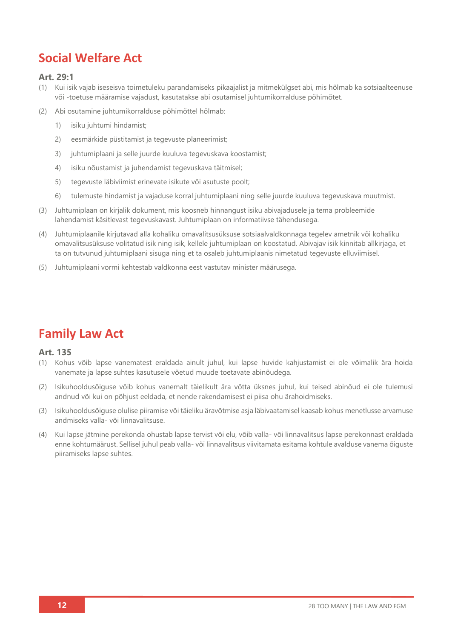## **Social Welfare Act**

### **Art. 29:1**

- (1) Kui isik vajab iseseisva toimetuleku parandamiseks pikaajalist ja mitmekülgset abi, mis hõlmab ka sotsiaalteenuse või -toetuse määramise vajadust, kasutatakse abi osutamisel juhtumikorralduse põhimõtet.
- (2) Abi osutamine juhtumikorralduse põhimõttel hõlmab:
	- 1) isiku juhtumi hindamist;
	- 2) eesmärkide püstitamist ja tegevuste planeerimist;
	- 3) juhtumiplaani ja selle juurde kuuluva tegevuskava koostamist;
	- 4) isiku nõustamist ja juhendamist tegevuskava täitmisel;
	- 5) tegevuste läbiviimist erinevate isikute või asutuste poolt;
	- 6) tulemuste hindamist ja vajaduse korral juhtumiplaani ning selle juurde kuuluva tegevuskava muutmist.
- (3) Juhtumiplaan on kirjalik dokument, mis koosneb hinnangust isiku abivajadusele ja tema probleemide lahendamist käsitlevast tegevuskavast. Juhtumiplaan on informatiivse tähendusega.
- (4) Juhtumiplaanile kirjutavad alla kohaliku omavalitsusüksuse sotsiaalvaldkonnaga tegelev ametnik või kohaliku omavalitsusüksuse volitatud isik ning isik, kellele juhtumiplaan on koostatud. Abivajav isik kinnitab allkirjaga, et ta on tutvunud juhtumiplaani sisuga ning et ta osaleb juhtumiplaanis nimetatud tegevuste elluviimisel.
- (5) Juhtumiplaani vormi kehtestab valdkonna eest vastutav minister määrusega.

## **Family Law Act**

- (1) Kohus võib lapse vanematest eraldada ainult juhul, kui lapse huvide kahjustamist ei ole võimalik ära hoida vanemate ja lapse suhtes kasutusele võetud muude toetavate abinõudega.
- (2) Isikuhooldusõiguse võib kohus vanemalt täielikult ära võtta üksnes juhul, kui teised abinõud ei ole tulemusi andnud või kui on põhjust eeldada, et nende rakendamisest ei piisa ohu ärahoidmiseks.
- (3) Isikuhooldusõiguse olulise piiramise või täieliku äravõtmise asja läbivaatamisel kaasab kohus menetlusse arvamuse andmiseks valla- või linnavalitsuse.
- (4) Kui lapse jätmine perekonda ohustab lapse tervist või elu, võib valla- või linnavalitsus lapse perekonnast eraldada enne kohtumäärust. Sellisel juhul peab valla- või linnavalitsus viivitamata esitama kohtule avalduse vanema õiguste piiramiseks lapse suhtes.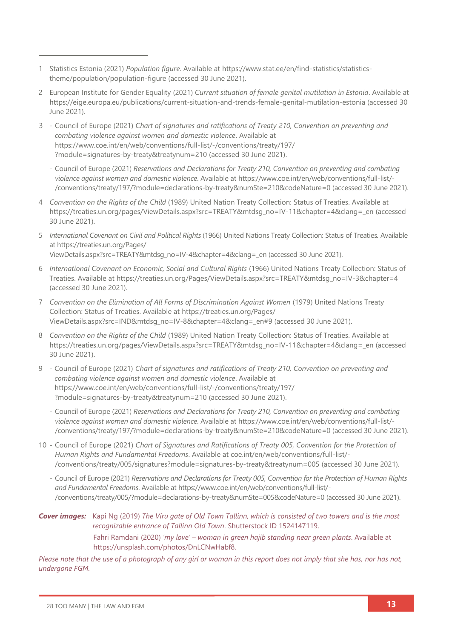- 1 Statistics Estonia (2021) *Population figure*. Available at [https://www.stat.ee/en/find-statistics/statistics](https://www.stat.ee/en/find-statistics/statistics-theme/population/population-figure)[theme/population/population-figure](https://www.stat.ee/en/find-statistics/statistics-theme/population/population-figure) (accessed 30 June 2021).
- 2 European Institute for Gender Equality (2021) *Current situation of female genital mutilation in Estonia*. Available at <https://eige.europa.eu/publications/current-situation-and-trends-female-genital-mutilation-estonia> (accessed 30 June 2021).
- 3 Council of Europe (2021) *Chart of signatures and ratifications of Treaty 210, Convention on preventing and combating violence against women and domestic violence*. Available at [https://www.coe.int/en/web/conventions/full-list/-/conventions/treaty/197/](https://www.coe.int/en/web/conventions/full-list/-/conventions/treaty/197/?module=signatures-by-treaty&treatynum=210) [?module=signatures-by-treaty&treatynum=210](https://www.coe.int/en/web/conventions/full-list/-/conventions/treaty/197/?module=signatures-by-treaty&treatynum=210) (accessed 30 June 2021).
	- Council of Europe (2021) *Reservations and Declarations for Treaty 210, Convention on preventing and combating violence against women and domestic violence*. Available at [https://www.coe.int/en/web/conventions/full-list/-](https://www.coe.int/en/web/conventions/full-list/-/conventions/treaty/197/?module=declarations-by-treaty&numSte=210&codeNature=0) [/conventions/treaty/197/?module=declarations-by-treaty&numSte=210&codeNature=0](https://www.coe.int/en/web/conventions/full-list/-/conventions/treaty/197/?module=declarations-by-treaty&numSte=210&codeNature=0) (accessed 30 June 2021).
- 4 *Convention on the Rights of the Child* (1989) United Nation Treaty Collection: Status of Treaties. Available at [https://treaties.un.org/pages/ViewDetails.aspx?src=TREATY&mtdsg\\_no=IV-11&chapter=4&clang=\\_en](https://treaties.un.org/pages/ViewDetails.aspx?src=TREATY&mtdsg_no=IV-11&chapter=4&clang=_en) (accessed 30 June 2021).
- 5 *International Covenant on Civil and Political Rights* (1966) United Nations Treaty Collection: Status of Treaties*.* Available at [https://treaties.un.org/Pages/](https://treaties.un.org/Pages/ViewDetails.aspx?src=TREATY&mtdsg_no=IV-4&chapter=4&clang=_en) [ViewDetails.aspx?src=TREATY&mtdsg\\_no=IV-4&chapter=4&clang=\\_en](https://treaties.un.org/Pages/ViewDetails.aspx?src=TREATY&mtdsg_no=IV-4&chapter=4&clang=_en) (accessed 30 June 2021).
- 6 *International Covenant on Economic, Social and Cultural Rights* (1966) United Nations Treaty Collection: Status of Treaties. Available at [https://treaties.un.org/Pages/ViewDetails.aspx?src=TREATY&mtdsg\\_no=IV-3&chapter=4](https://treaties.un.org/Pages/ViewDetails.aspx?src=TREATY&mtdsg_no=IV-3&chapter=4) (accessed 30 June 2021).
- 7 *Convention on the Elimination of All Forms of Discrimination Against Women* (1979) United Nations Treaty Collection: Status of Treaties. Available at [https://treaties.un.org/Pages/](https://treaties.un.org/Pages/ViewDetails.aspx?src=IND&mtdsg_no=IV-8&chapter=4&clang=_en#9) [ViewDetails.aspx?src=IND&mtdsg\\_no=IV-8&chapter=4&clang=\\_en#9](https://treaties.un.org/Pages/ViewDetails.aspx?src=IND&mtdsg_no=IV-8&chapter=4&clang=_en#9) (accessed 30 June 2021).
- 8 *Convention on the Rights of the Child* (1989) United Nation Treaty Collection: Status of Treaties. Available at [https://treaties.un.org/pages/ViewDetails.aspx?src=TREATY&mtdsg\\_no=IV-11&chapter=4&clang=\\_en](https://treaties.un.org/pages/ViewDetails.aspx?src=TREATY&mtdsg_no=IV-11&chapter=4&clang=_en) (accessed 30 June 2021).
- 9 Council of Europe (2021) *Chart of signatures and ratifications of Treaty 210, Convention on preventing and combating violence against women and domestic violence*. Available at [https://www.coe.int/en/web/conventions/full-list/-/conventions/treaty/197/](https://www.coe.int/en/web/conventions/full-list/-/conventions/treaty/197/?module=signatures-by-treaty&treatynum=210) [?module=signatures-by-treaty&treatynum=210](https://www.coe.int/en/web/conventions/full-list/-/conventions/treaty/197/?module=signatures-by-treaty&treatynum=210) (accessed 30 June 2021).
	- Council of Europe (2021) *Reservations and Declarations for Treaty 210, Convention on preventing and combating violence against women and domestic violence*. Available at [https://www.coe.int/en/web/conventions/full-list/-](https://www.coe.int/en/web/conventions/full-list/-/conventions/treaty/197/?module=declarations-by-treaty&numSte=210&codeNature=0) [/conventions/treaty/197/?module=declarations-by-treaty&numSte=210&codeNature=0](https://www.coe.int/en/web/conventions/full-list/-/conventions/treaty/197/?module=declarations-by-treaty&numSte=210&codeNature=0) (accessed 30 June 2021).
- 10 Council of Europe (2021) *Chart of Signatures and Ratifications of Treaty 005, Convention for the Protection of Human Rights and Fundamental Freedoms*. Available at [coe.int/en/web/conventions/full-list/-](file://///System/Volumes/Data/Work%20files/28TooMany/28TM_EUReport%20Design/28TM_EUROPEReports/ESTONIA/coe.int/en/web/conventions/full-list/-/conventions/treaty/005/signatures%253fmodule=signatures-by-treaty&treatynum=005) [/conventions/treaty/005/signatures?module=signatures-by-treaty&treatynum=005](file://///System/Volumes/Data/Work%20files/28TooMany/28TM_EUReport%20Design/28TM_EUROPEReports/ESTONIA/coe.int/en/web/conventions/full-list/-/conventions/treaty/005/signatures%253fmodule=signatures-by-treaty&treatynum=005) (accessed 30 June 2021).
	- Council of Europe (2021) *Reservations and Declarations for Treaty 005, Convention for the Protection of Human Rights and Fundamental Freedoms*. Available at [https://www.coe.int/en/web/conventions/full-list/-](https://www.coe.int/en/web/conventions/full-list/-/conventions/treaty/005/?module=declarations-by-treaty&numSte=005&codeNature=0) [/conventions/treaty/005/?module=declarations-by-treaty&numSte=005&codeNature=0](https://www.coe.int/en/web/conventions/full-list/-/conventions/treaty/005/?module=declarations-by-treaty&numSte=005&codeNature=0) (accessed 30 June 2021).

*Cover images:* Kapi Ng (2019) *The Viru gate of Old Town Tallinn, which is consisted of two towers and is the most recognizable entrance of Tallinn Old Town*. Shutterstock ID 1524147119. Fahri Ramdani (2020) *'my love' – woman in green hajib standing near green plants*. Available at [https://unsplash.com/photos/DnLCNwHabf8.](https://unsplash.com/photos/DnLCNwHabf8)

*Please note that the use of a photograph of any girl or woman in this report does not imply that she has, nor has not, undergone FGM.*